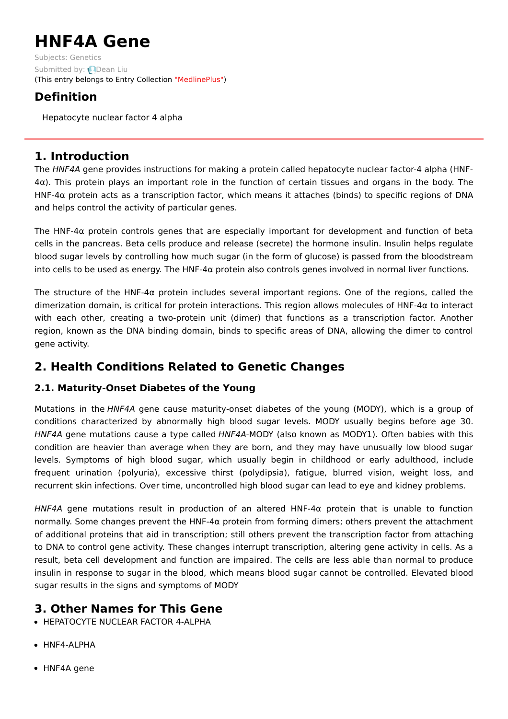# **HNF4A Gene**

Subjects: [Genetics](https://encyclopedia.pub/item/subject/56) Submitted by: **Q[Dean](https://sciprofiles.com/profile/1156464) Liu** (This entry belongs to Entry Collection ["MedlinePlus"](https://encyclopedia.pub/entry/collection/24))

# **Definition**

Hepatocyte nuclear factor 4 alpha

## **1. Introduction**

The HNF4A gene provides instructions for making a protein called hepatocyte nuclear factor-4 alpha (HNF- $4\alpha$ ). This protein plays an important role in the function of certain tissues and organs in the body. The HNF-4α protein acts as a transcription factor, which means it attaches (binds) to specific regions of DNA and helps control the activity of particular genes.

The HNF-4α protein controls genes that are especially important for development and function of beta cells in the pancreas. Beta cells produce and release (secrete) the hormone insulin. Insulin helps regulate blood sugar levels by controlling how much sugar (in the form of glucose) is passed from the bloodstream into cells to be used as energy. The HNF-4α protein also controls genes involved in normal liver functions.

The structure of the HNF-4 $\alpha$  protein includes several important regions. One of the regions, called the dimerization domain, is critical for protein interactions. This region allows molecules of HNF-4α to interact with each other, creating a two-protein unit (dimer) that functions as a transcription factor. Another region, known as the DNA binding domain, binds to specific areas of DNA, allowing the dimer to control gene activity.

# **2. Health Conditions Related to Genetic Changes**

## **2.1. Maturity-Onset Diabetes of the Young**

Mutations in the HNF4A gene cause maturity-onset diabetes of the young (MODY), which is a group of conditions characterized by abnormally high blood sugar levels. MODY usually begins before age 30. HNF4A gene mutations cause a type called HNF4A-MODY (also known as MODY1). Often babies with this condition are heavier than average when they are born, and they may have unusually low blood sugar levels. Symptoms of high blood sugar, which usually begin in childhood or early adulthood, include frequent urination (polyuria), excessive thirst (polydipsia), fatigue, blurred vision, weight loss, and recurrent skin infections. Over time, uncontrolled high blood sugar can lead to eye and kidney problems.

HNF4A gene mutations result in production of an altered HNF-4α protein that is unable to function normally. Some changes prevent the HNF-4α protein from forming dimers; others prevent the attachment of additional proteins that aid in transcription; still others prevent the transcription factor from attaching to DNA to control gene activity. These changes interrupt transcription, altering gene activity in cells. As a result, beta cell development and function are impaired. The cells are less able than normal to produce insulin in response to sugar in the blood, which means blood sugar cannot be controlled. Elevated blood sugar results in the signs and symptoms of MODY

# **3. Other Names for This Gene**

- **HEPATOCYTE NUCLEAR FACTOR 4-ALPHA**
- HNF4-ALPHA
- HNF4A gene